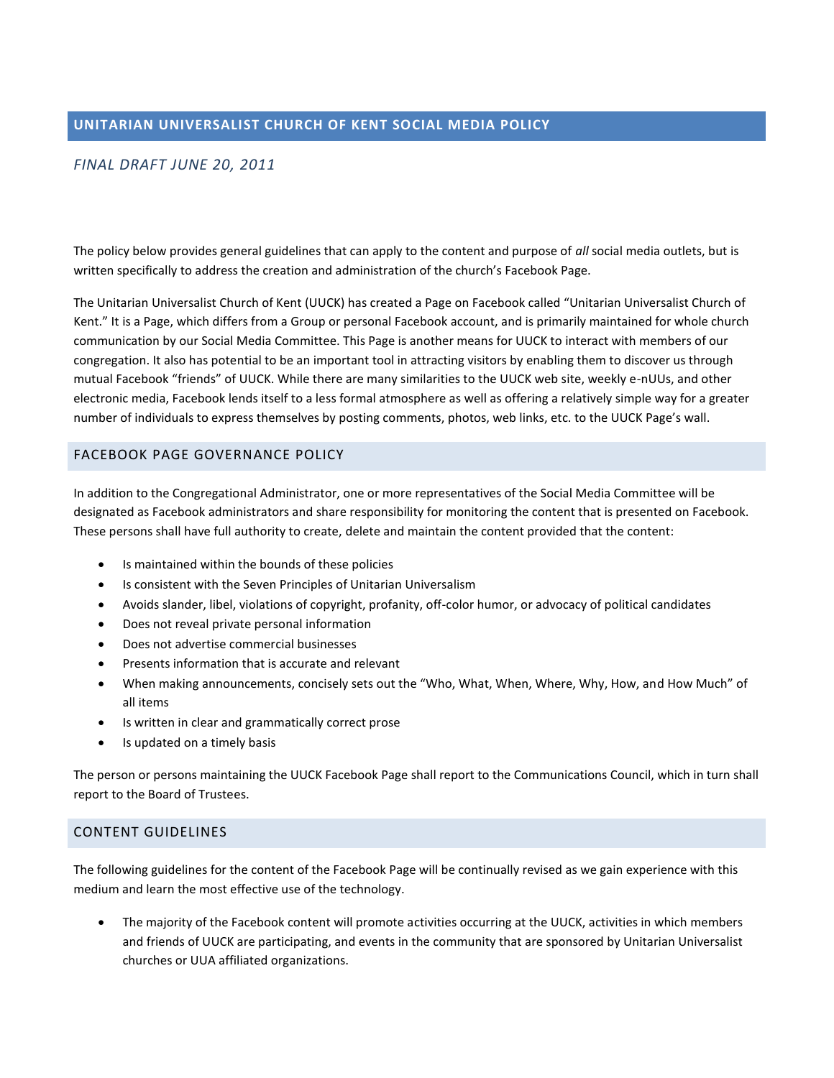# *FINAL DRAFT JUNE 20, 2011*

The policy below provides general guidelines that can apply to the content and purpose of *all* social media outlets, but is written specifically to address the creation and administration of the church's Facebook Page.

The Unitarian Universalist Church of Kent (UUCK) has created a Page on Facebook called "Unitarian Universalist Church of Kent." It is a Page, which differs from a Group or personal Facebook account, and is primarily maintained for whole church communication by our Social Media Committee. This Page is another means for UUCK to interact with members of our congregation. It also has potential to be an important tool in attracting visitors by enabling them to discover us through mutual Facebook "friends" of UUCK. While there are many similarities to the UUCK web site, weekly e-nUUs, and other electronic media, Facebook lends itself to a less formal atmosphere as well as offering a relatively simple way for a greater number of individuals to express themselves by posting comments, photos, web links, etc. to the UUCK Page's wall.

#### FACEBOOK PAGE GOVERNANCE POLICY

In addition to the Congregational Administrator, one or more representatives of the Social Media Committee will be designated as Facebook administrators and share responsibility for monitoring the content that is presented on Facebook. These persons shall have full authority to create, delete and maintain the content provided that the content:

- Is maintained within the bounds of these policies
- Is consistent with the Seven Principles of Unitarian Universalism
- Avoids slander, libel, violations of copyright, profanity, off-color humor, or advocacy of political candidates
- Does not reveal private personal information
- Does not advertise commercial businesses
- Presents information that is accurate and relevant
- When making announcements, concisely sets out the "Who, What, When, Where, Why, How, and How Much" of all items
- Is written in clear and grammatically correct prose
- Is updated on a timely basis

The person or persons maintaining the UUCK Facebook Page shall report to the Communications Council, which in turn shall report to the Board of Trustees.

## CONTENT GUIDELINES

The following guidelines for the content of the Facebook Page will be continually revised as we gain experience with this medium and learn the most effective use of the technology.

 The majority of the Facebook content will promote activities occurring at the UUCK, activities in which members and friends of UUCK are participating, and events in the community that are sponsored by Unitarian Universalist churches or UUA affiliated organizations.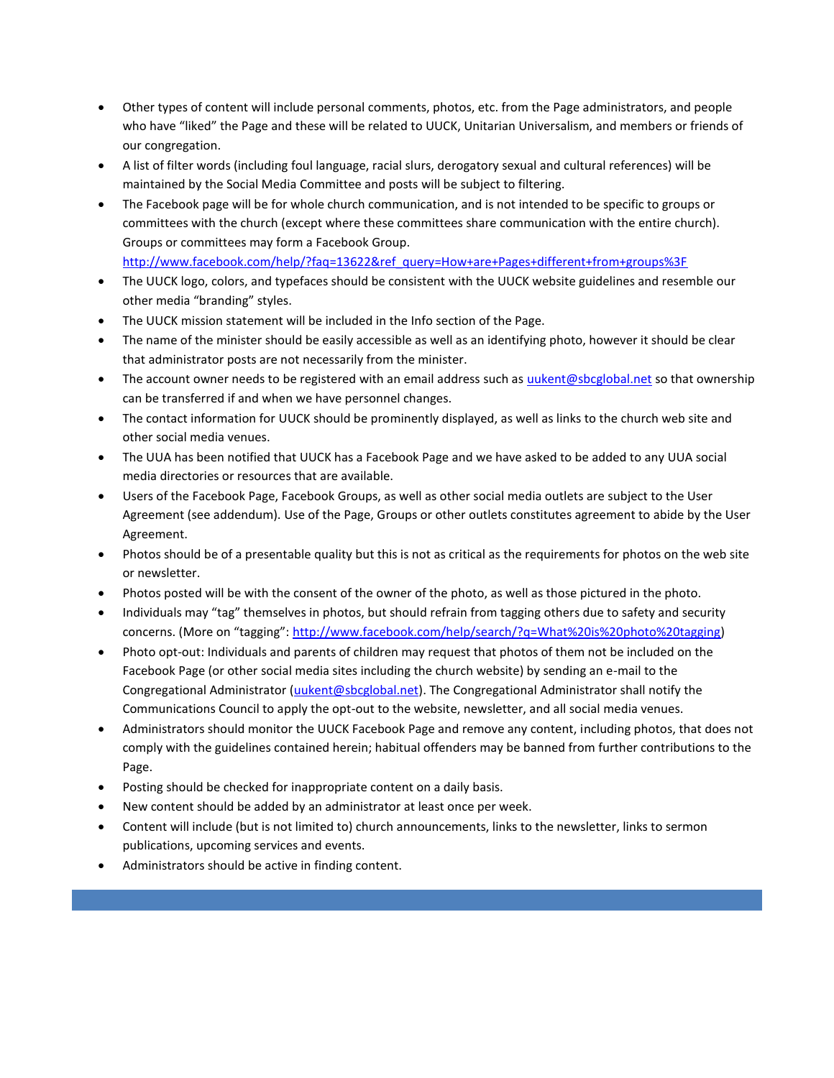- Other types of content will include personal comments, photos, etc. from the Page administrators, and people who have "liked" the Page and these will be related to UUCK, Unitarian Universalism, and members or friends of our congregation.
- A list of filter words (including foul language, racial slurs, derogatory sexual and cultural references) will be maintained by the Social Media Committee and posts will be subject to filtering.
- The Facebook page will be for whole church communication, and is not intended to be specific to groups or committees with the church (except where these committees share communication with the entire church). Groups or committees may form a Facebook Group.

[http://www.facebook.com/help/?faq=13622&ref\\_query=How+are+Pages+different+from+groups%3F](http://www.facebook.com/help/?faq=13622&ref_query=How+are+Pages+different+from+groups%3F)

- The UUCK logo, colors, and typefaces should be consistent with the UUCK website guidelines and resemble our other media "branding" styles.
- The UUCK mission statement will be included in the Info section of the Page.
- The name of the minister should be easily accessible as well as an identifying photo, however it should be clear that administrator posts are not necessarily from the minister.
- The account owner needs to be registered with an email address such as [uukent@sbcglobal.net](mailto:uukent@sbcglobal.net) so that ownership can be transferred if and when we have personnel changes.
- The contact information for UUCK should be prominently displayed, as well as links to the church web site and other social media venues.
- The UUA has been notified that UUCK has a Facebook Page and we have asked to be added to any UUA social media directories or resources that are available.
- Users of the Facebook Page, Facebook Groups, as well as other social media outlets are subject to the User Agreement (see addendum). Use of the Page, Groups or other outlets constitutes agreement to abide by the User Agreement.
- Photos should be of a presentable quality but this is not as critical as the requirements for photos on the web site or newsletter.
- Photos posted will be with the consent of the owner of the photo, as well as those pictured in the photo.
- Individuals may "tag" themselves in photos, but should refrain from tagging others due to safety and security concerns. (More on "tagging": [http://www.facebook.com/help/search/?q=What%20is%20photo%20tagging\)](http://www.facebook.com/help/search/?q=What%20is%20photo%20tagging)
- Photo opt-out: Individuals and parents of children may request that photos of them not be included on the Facebook Page (or other social media sites including the church website) by sending an e-mail to the Congregational Administrator [\(uukent@sbcglobal.net\)](mailto:uukent@sbcglobal.net). The Congregational Administrator shall notify the Communications Council to apply the opt-out to the website, newsletter, and all social media venues.
- Administrators should monitor the UUCK Facebook Page and remove any content, including photos, that does not comply with the guidelines contained herein; habitual offenders may be banned from further contributions to the Page.
- Posting should be checked for inappropriate content on a daily basis.
- New content should be added by an administrator at least once per week.
- Content will include (but is not limited to) church announcements, links to the newsletter, links to sermon publications, upcoming services and events.
- Administrators should be active in finding content.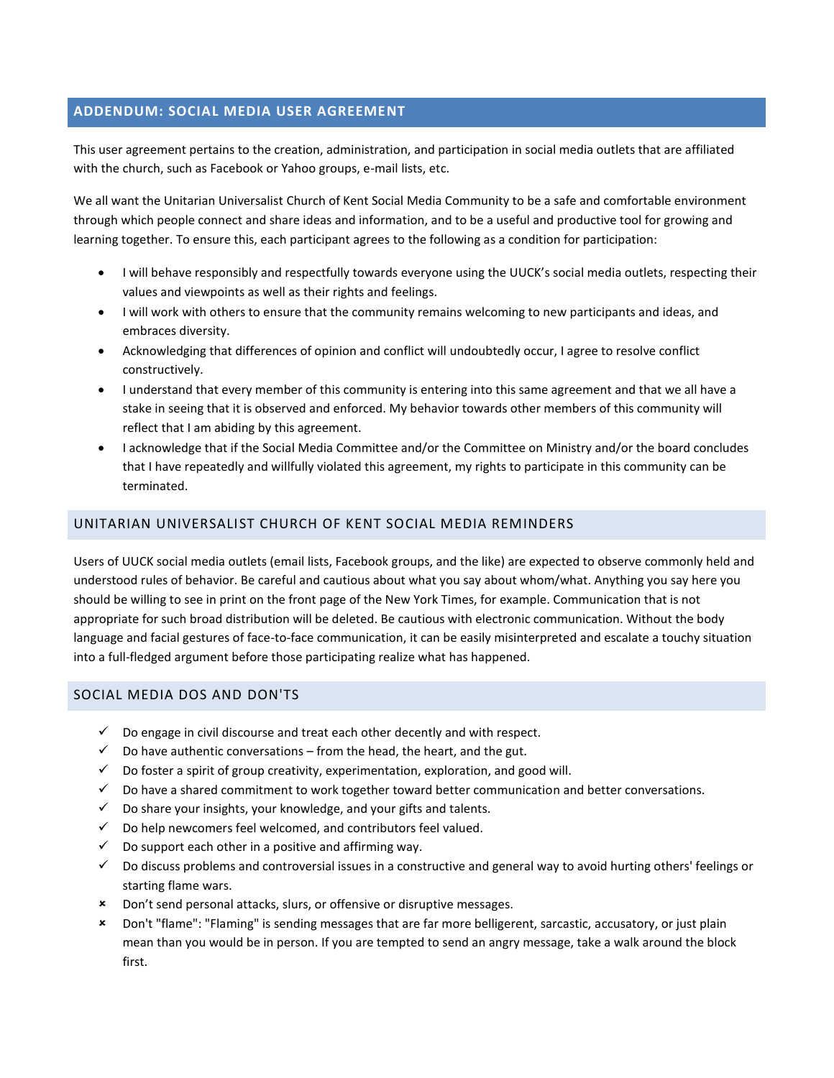## **ADDENDUM: SOCIAL MEDIA USER AGREEMENT**

This user agreement pertains to the creation, administration, and participation in social media outlets that are affiliated with the church, such as Facebook or Yahoo groups, e-mail lists, etc.

We all want the Unitarian Universalist Church of Kent Social Media Community to be a safe and comfortable environment through which people connect and share ideas and information, and to be a useful and productive tool for growing and learning together. To ensure this, each participant agrees to the following as a condition for participation:

- I will behave responsibly and respectfully towards everyone using the UUCK's social media outlets, respecting their values and viewpoints as well as their rights and feelings.
- I will work with others to ensure that the community remains welcoming to new participants and ideas, and embraces diversity.
- Acknowledging that differences of opinion and conflict will undoubtedly occur, I agree to resolve conflict constructively.
- I understand that every member of this community is entering into this same agreement and that we all have a stake in seeing that it is observed and enforced. My behavior towards other members of this community will reflect that I am abiding by this agreement.
- I acknowledge that if the Social Media Committee and/or the Committee on Ministry and/or the board concludes that I have repeatedly and willfully violated this agreement, my rights to participate in this community can be terminated.

### UNITARIAN UNIVERSALIST CHURCH OF KENT SOCIAL MEDIA REMINDERS

Users of UUCK social media outlets (email lists, Facebook groups, and the like) are expected to observe commonly held and understood rules of behavior. Be careful and cautious about what you say about whom/what. Anything you say here you should be willing to see in print on the front page of the New York Times, for example. Communication that is not appropriate for such broad distribution will be deleted. Be cautious with electronic communication. Without the body language and facial gestures of face-to-face communication, it can be easily misinterpreted and escalate a touchy situation into a full-fledged argument before those participating realize what has happened.

#### SOCIAL MEDIA DOS AND DON'TS

- $\checkmark$  Do engage in civil discourse and treat each other decently and with respect.
- $\checkmark$  Do have authentic conversations from the head, the heart, and the gut.
- $\checkmark$  Do foster a spirit of group creativity, experimentation, exploration, and good will.
- $\checkmark$  Do have a shared commitment to work together toward better communication and better conversations.
- $\checkmark$  Do share your insights, your knowledge, and your gifts and talents.
- $\checkmark$  Do help newcomers feel welcomed, and contributors feel valued.
- $\checkmark$  Do support each other in a positive and affirming way.
- $\checkmark$  Do discuss problems and controversial issues in a constructive and general way to avoid hurting others' feelings or starting flame wars.
- Don't send personal attacks, slurs, or offensive or disruptive messages.
- Don't "flame": "Flaming" is sending messages that are far more belligerent, sarcastic, accusatory, or just plain mean than you would be in person. If you are tempted to send an angry message, take a walk around the block first.